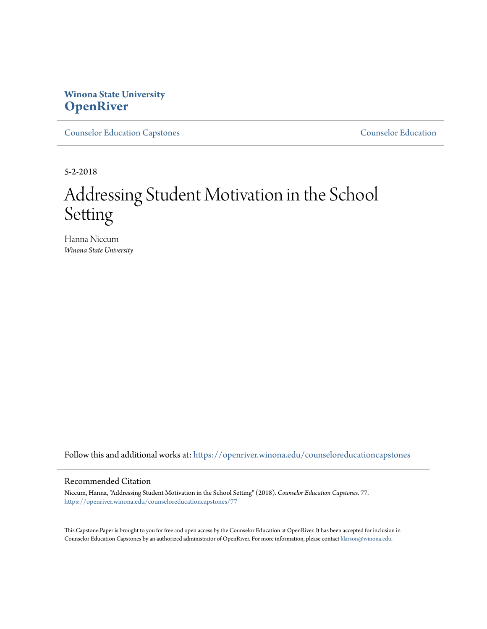# **Winona State University [OpenRiver](https://openriver.winona.edu?utm_source=openriver.winona.edu%2Fcounseloreducationcapstones%2F77&utm_medium=PDF&utm_campaign=PDFCoverPages)**

[Counselor Education Capstones](https://openriver.winona.edu/counseloreducationcapstones?utm_source=openriver.winona.edu%2Fcounseloreducationcapstones%2F77&utm_medium=PDF&utm_campaign=PDFCoverPages) [Counselor Education](https://openriver.winona.edu/counseloreducation?utm_source=openriver.winona.edu%2Fcounseloreducationcapstones%2F77&utm_medium=PDF&utm_campaign=PDFCoverPages)

5-2-2018

# Addressing Student Motivation in the School Setting

Hanna Niccum *Winona State University*

Follow this and additional works at: [https://openriver.winona.edu/counseloreducationcapstones](https://openriver.winona.edu/counseloreducationcapstones?utm_source=openriver.winona.edu%2Fcounseloreducationcapstones%2F77&utm_medium=PDF&utm_campaign=PDFCoverPages)

#### Recommended Citation

Niccum, Hanna, "Addressing Student Motivation in the School Setting" (2018). *Counselor Education Capstones*. 77. [https://openriver.winona.edu/counseloreducationcapstones/77](https://openriver.winona.edu/counseloreducationcapstones/77?utm_source=openriver.winona.edu%2Fcounseloreducationcapstones%2F77&utm_medium=PDF&utm_campaign=PDFCoverPages)

This Capstone Paper is brought to you for free and open access by the Counselor Education at OpenRiver. It has been accepted for inclusion in Counselor Education Capstones by an authorized administrator of OpenRiver. For more information, please contact [klarson@winona.edu](mailto:klarson@winona.edu).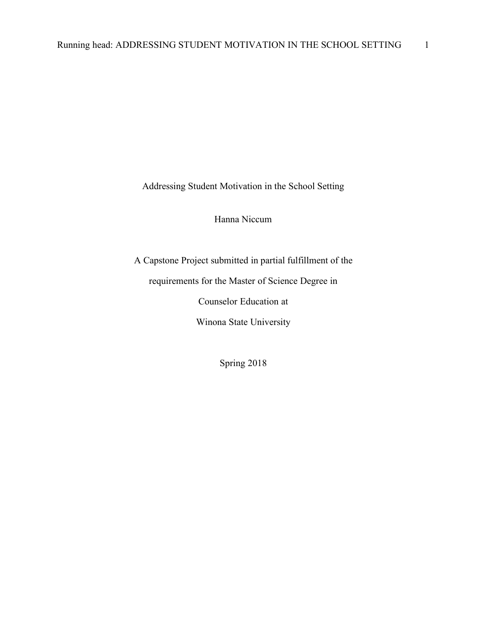Addressing Student Motivation in the School Setting

Hanna Niccum

A Capstone Project submitted in partial fulfillment of the

requirements for the Master of Science Degree in

Counselor Education at

Winona State University

Spring 2018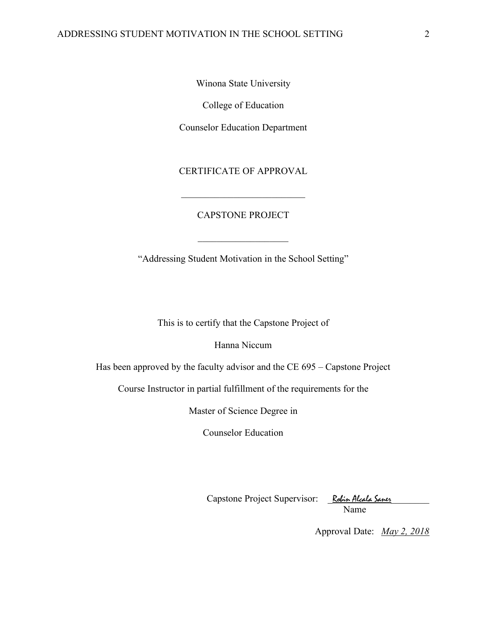Winona State University

College of Education

Counselor Education Department

CERTIFICATE OF APPROVAL

\_\_\_\_\_\_\_\_\_\_\_\_\_\_\_\_\_\_\_\_\_\_\_\_\_\_

## CAPSTONE PROJECT

"Addressing Student Motivation in the School Setting"

 $\overline{\phantom{a}}$  , where  $\overline{\phantom{a}}$ 

This is to certify that the Capstone Project of

Hanna Niccum

Has been approved by the faculty advisor and the CE 695 – Capstone Project

Course Instructor in partial fulfillment of the requirements for the

Master of Science Degree in

Counselor Education

Capstone Project Supervisor: \_Robin Alcala Saner\_\_\_\_\_\_\_\_ Name

Approval Date: *May 2, 2018*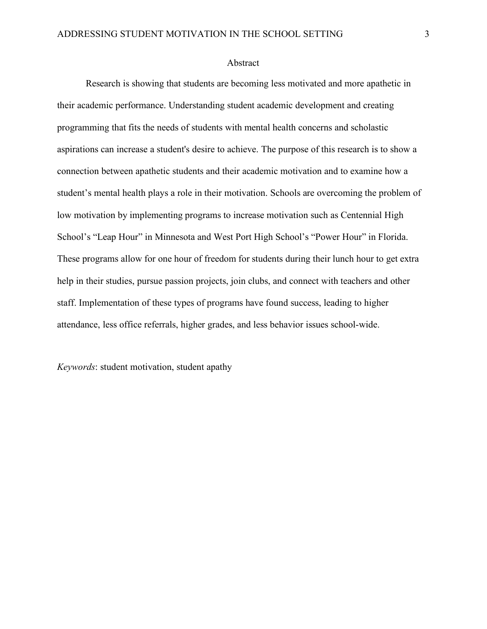#### Abstract

Research is showing that students are becoming less motivated and more apathetic in their academic performance. Understanding student academic development and creating programming that fits the needs of students with mental health concerns and scholastic aspirations can increase a student's desire to achieve. The purpose of this research is to show a connection between apathetic students and their academic motivation and to examine how a student's mental health plays a role in their motivation. Schools are overcoming the problem of low motivation by implementing programs to increase motivation such as Centennial High School's "Leap Hour" in Minnesota and West Port High School's "Power Hour" in Florida. These programs allow for one hour of freedom for students during their lunch hour to get extra help in their studies, pursue passion projects, join clubs, and connect with teachers and other staff. Implementation of these types of programs have found success, leading to higher attendance, less office referrals, higher grades, and less behavior issues school-wide.

*Keywords*: student motivation, student apathy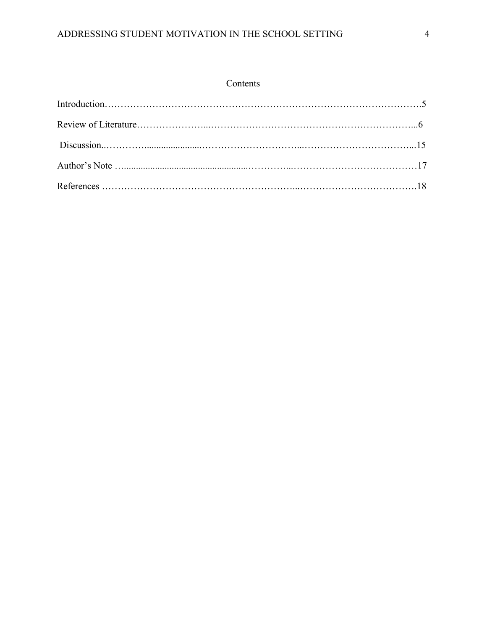# Contents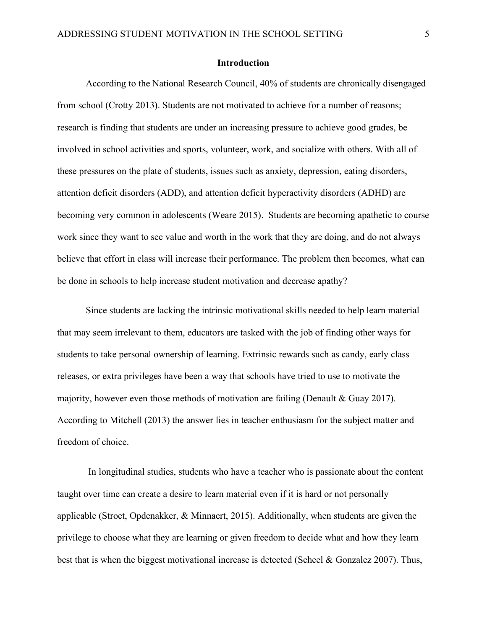### **Introduction**

According to the National Research Council, 40% of students are chronically disengaged from school (Crotty 2013). Students are not motivated to achieve for a number of reasons; research is finding that students are under an increasing pressure to achieve good grades, be involved in school activities and sports, volunteer, work, and socialize with others. With all of these pressures on the plate of students, issues such as anxiety, depression, eating disorders, attention deficit disorders (ADD), and attention deficit hyperactivity disorders (ADHD) are becoming very common in adolescents (Weare 2015). Students are becoming apathetic to course work since they want to see value and worth in the work that they are doing, and do not always believe that effort in class will increase their performance. The problem then becomes, what can be done in schools to help increase student motivation and decrease apathy?

Since students are lacking the intrinsic motivational skills needed to help learn material that may seem irrelevant to them, educators are tasked with the job of finding other ways for students to take personal ownership of learning. Extrinsic rewards such as candy, early class releases, or extra privileges have been a way that schools have tried to use to motivate the majority, however even those methods of motivation are failing (Denault & Guay 2017). According to Mitchell (2013) the answer lies in teacher enthusiasm for the subject matter and freedom of choice.

In longitudinal studies, students who have a teacher who is passionate about the content taught over time can create a desire to learn material even if it is hard or not personally applicable (Stroet, Opdenakker, & Minnaert, 2015). Additionally, when students are given the privilege to choose what they are learning or given freedom to decide what and how they learn best that is when the biggest motivational increase is detected (Scheel & Gonzalez 2007). Thus,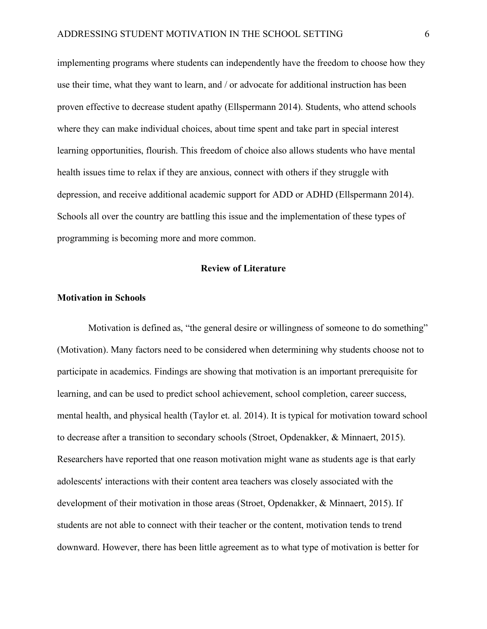implementing programs where students can independently have the freedom to choose how they use their time, what they want to learn, and / or advocate for additional instruction has been proven effective to decrease student apathy (Ellspermann 2014). Students, who attend schools where they can make individual choices, about time spent and take part in special interest learning opportunities, flourish. This freedom of choice also allows students who have mental health issues time to relax if they are anxious, connect with others if they struggle with depression, and receive additional academic support for ADD or ADHD (Ellspermann 2014). Schools all over the country are battling this issue and the implementation of these types of programming is becoming more and more common.

#### **Review of Literature**

#### **Motivation in Schools**

Motivation is defined as, "the general desire or willingness of someone to do something" (Motivation). Many factors need to be considered when determining why students choose not to participate in academics. Findings are showing that motivation is an important prerequisite for learning, and can be used to predict school achievement, school completion, career success, mental health, and physical health (Taylor et. al. 2014). It is typical for motivation toward school to decrease after a transition to secondary schools (Stroet, Opdenakker, & Minnaert, 2015). Researchers have reported that one reason motivation might wane as students age is that early adolescents' interactions with their content area teachers was closely associated with the development of their motivation in those areas (Stroet, Opdenakker, & Minnaert, 2015). If students are not able to connect with their teacher or the content, motivation tends to trend downward. However, there has been little agreement as to what type of motivation is better for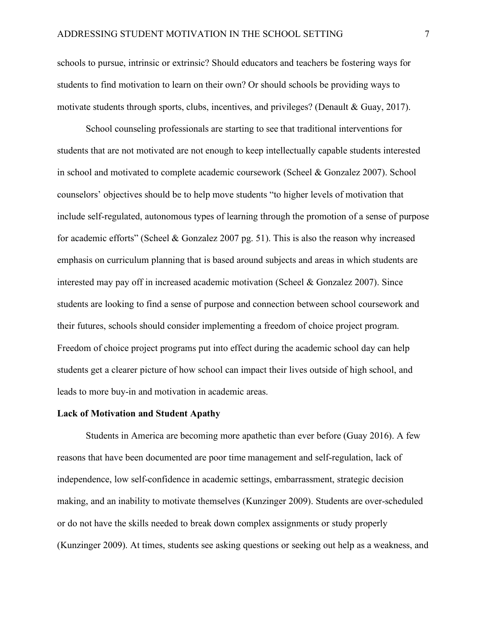schools to pursue, intrinsic or extrinsic? Should educators and teachers be fostering ways for students to find motivation to learn on their own? Or should schools be providing ways to motivate students through sports, clubs, incentives, and privileges? (Denault & Guay, 2017).

School counseling professionals are starting to see that traditional interventions for students that are not motivated are not enough to keep intellectually capable students interested in school and motivated to complete academic coursework (Scheel & Gonzalez 2007). School counselors' objectives should be to help move students "to higher levels of motivation that include self-regulated, autonomous types of learning through the promotion of a sense of purpose for academic efforts" (Scheel & Gonzalez 2007 pg. 51). This is also the reason why increased emphasis on curriculum planning that is based around subjects and areas in which students are interested may pay off in increased academic motivation (Scheel & Gonzalez 2007). Since students are looking to find a sense of purpose and connection between school coursework and their futures, schools should consider implementing a freedom of choice project program. Freedom of choice project programs put into effect during the academic school day can help students get a clearer picture of how school can impact their lives outside of high school, and leads to more buy-in and motivation in academic areas.

#### **Lack of Motivation and Student Apathy**

Students in America are becoming more apathetic than ever before (Guay 2016). A few reasons that have been documented are poor time management and self-regulation, lack of independence, low self-confidence in academic settings, embarrassment, strategic decision making, and an inability to motivate themselves (Kunzinger 2009). Students are over-scheduled or do not have the skills needed to break down complex assignments or study properly (Kunzinger 2009). At times, students see asking questions or seeking out help as a weakness, and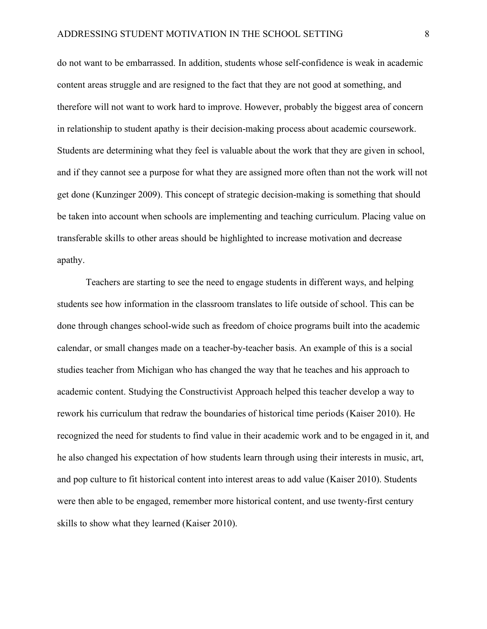do not want to be embarrassed. In addition, students whose self-confidence is weak in academic content areas struggle and are resigned to the fact that they are not good at something, and therefore will not want to work hard to improve. However, probably the biggest area of concern in relationship to student apathy is their decision-making process about academic coursework. Students are determining what they feel is valuable about the work that they are given in school, and if they cannot see a purpose for what they are assigned more often than not the work will not get done (Kunzinger 2009). This concept of strategic decision-making is something that should be taken into account when schools are implementing and teaching curriculum. Placing value on transferable skills to other areas should be highlighted to increase motivation and decrease apathy.

Teachers are starting to see the need to engage students in different ways, and helping students see how information in the classroom translates to life outside of school. This can be done through changes school-wide such as freedom of choice programs built into the academic calendar, or small changes made on a teacher-by-teacher basis. An example of this is a social studies teacher from Michigan who has changed the way that he teaches and his approach to academic content. Studying the Constructivist Approach helped this teacher develop a way to rework his curriculum that redraw the boundaries of historical time periods (Kaiser 2010). He recognized the need for students to find value in their academic work and to be engaged in it, and he also changed his expectation of how students learn through using their interests in music, art, and pop culture to fit historical content into interest areas to add value (Kaiser 2010). Students were then able to be engaged, remember more historical content, and use twenty-first century skills to show what they learned (Kaiser 2010).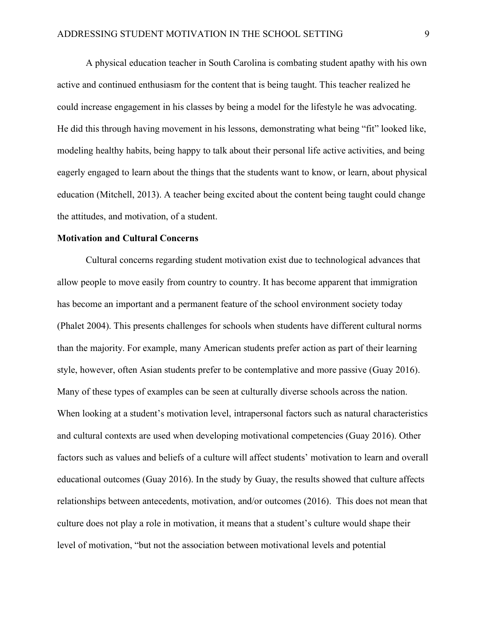A physical education teacher in South Carolina is combating student apathy with his own active and continued enthusiasm for the content that is being taught. This teacher realized he could increase engagement in his classes by being a model for the lifestyle he was advocating. He did this through having movement in his lessons, demonstrating what being "fit" looked like, modeling healthy habits, being happy to talk about their personal life active activities, and being eagerly engaged to learn about the things that the students want to know, or learn, about physical education (Mitchell, 2013). A teacher being excited about the content being taught could change the attitudes, and motivation, of a student.

#### **Motivation and Cultural Concerns**

Cultural concerns regarding student motivation exist due to technological advances that allow people to move easily from country to country. It has become apparent that immigration has become an important and a permanent feature of the school environment society today (Phalet 2004). This presents challenges for schools when students have different cultural norms than the majority. For example, many American students prefer action as part of their learning style, however, often Asian students prefer to be contemplative and more passive (Guay 2016). Many of these types of examples can be seen at culturally diverse schools across the nation. When looking at a student's motivation level, intrapersonal factors such as natural characteristics and cultural contexts are used when developing motivational competencies (Guay 2016). Other factors such as values and beliefs of a culture will affect students' motivation to learn and overall educational outcomes (Guay 2016). In the study by Guay, the results showed that culture affects relationships between antecedents, motivation, and/or outcomes (2016). This does not mean that culture does not play a role in motivation, it means that a student's culture would shape their level of motivation, "but not the association between motivational levels and potential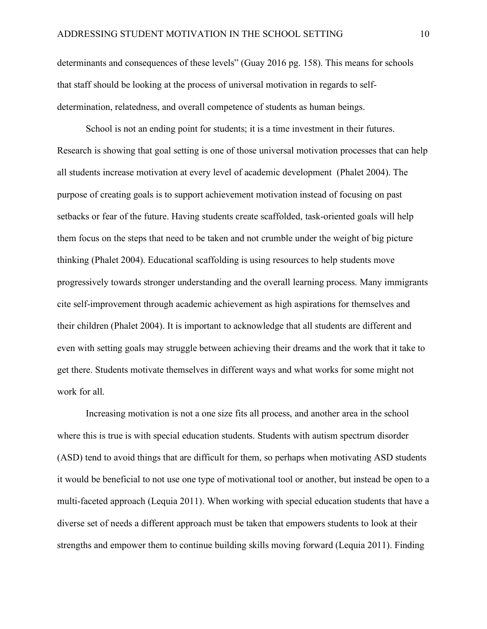determinants and consequences of these levels" (Guay 2016 pg. 158). This means for schools that staff should be looking at the process of universal motivation in regards to selfdetermination, relatedness, and overall competence of students as human beings.

School is not an ending point for students; it is a time investment in their futures. Research is showing that goal setting is one of those universal motivation processes that can help all students increase motivation at every level of academic development (Phalet 2004). The purpose of creating goals is to support achievement motivation instead of focusing on past setbacks or fear of the future. Having students create scaffolded, task-oriented goals will help them focus on the steps that need to be taken and not crumble under the weight of big picture thinking (Phalet 2004). Educational scaffolding is using resources to help students move progressively towards stronger understanding and the overall learning process. Many immigrants cite self-improvement through academic achievement as high aspirations for themselves and their children (Phalet 2004). It is important to acknowledge that all students are different and even with setting goals may struggle between achieving their dreams and the work that it take to get there. Students motivate themselves in different ways and what works for some might not work for all.

Increasing motivation is not a one size fits all process, and another area in the school where this is true is with special education students. Students with autism spectrum disorder (ASD) tend to avoid things that are difficult for them, so perhaps when motivating ASD students it would be beneficial to not use one type of motivational tool or another, but instead be open to a multi-faceted approach (Lequia 2011). When working with special education students that have a diverse set of needs a different approach must be taken that empowers students to look at their strengths and empower them to continue building skills moving forward (Lequia 2011). Finding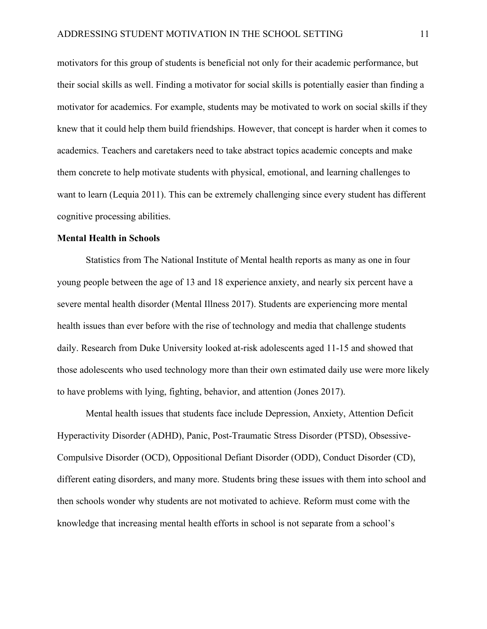motivators for this group of students is beneficial not only for their academic performance, but their social skills as well. Finding a motivator for social skills is potentially easier than finding a motivator for academics. For example, students may be motivated to work on social skills if they knew that it could help them build friendships. However, that concept is harder when it comes to academics. Teachers and caretakers need to take abstract topics academic concepts and make them concrete to help motivate students with physical, emotional, and learning challenges to want to learn (Lequia 2011). This can be extremely challenging since every student has different cognitive processing abilities.

#### **Mental Health in Schools**

Statistics from The National Institute of Mental health reports as many as one in four young people between the age of 13 and 18 experience anxiety, and nearly six percent have a severe mental health disorder (Mental Illness 2017). Students are experiencing more mental health issues than ever before with the rise of technology and media that challenge students daily. Research from Duke University looked at-risk adolescents aged 11-15 and showed that those adolescents who used technology more than their own estimated daily use were more likely to have problems with lying, fighting, behavior, and attention (Jones 2017).

Mental health issues that students face include Depression, Anxiety, Attention Deficit Hyperactivity Disorder (ADHD), Panic, Post-Traumatic Stress Disorder (PTSD), Obsessive-Compulsive Disorder (OCD), Oppositional Defiant Disorder (ODD), Conduct Disorder (CD), different eating disorders, and many more. Students bring these issues with them into school and then schools wonder why students are not motivated to achieve. Reform must come with the knowledge that increasing mental health efforts in school is not separate from a school's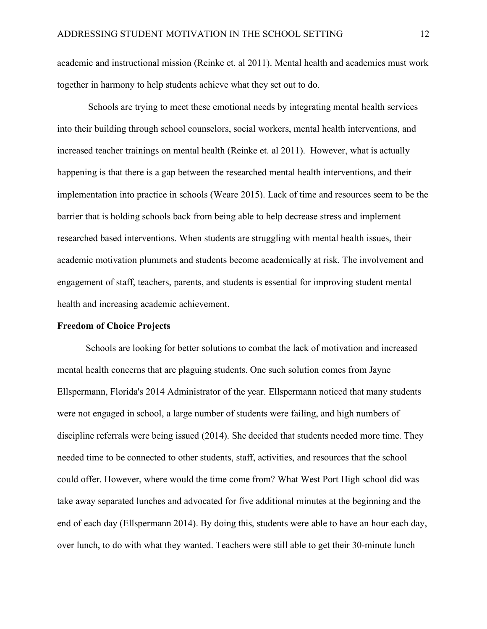academic and instructional mission (Reinke et. al 2011). Mental health and academics must work together in harmony to help students achieve what they set out to do.

Schools are trying to meet these emotional needs by integrating mental health services into their building through school counselors, social workers, mental health interventions, and increased teacher trainings on mental health (Reinke et. al 2011). However, what is actually happening is that there is a gap between the researched mental health interventions, and their implementation into practice in schools (Weare 2015). Lack of time and resources seem to be the barrier that is holding schools back from being able to help decrease stress and implement researched based interventions. When students are struggling with mental health issues, their academic motivation plummets and students become academically at risk. The involvement and engagement of staff, teachers, parents, and students is essential for improving student mental health and increasing academic achievement.

#### **Freedom of Choice Projects**

Schools are looking for better solutions to combat the lack of motivation and increased mental health concerns that are plaguing students. One such solution comes from Jayne Ellspermann, Florida's 2014 Administrator of the year. Ellspermann noticed that many students were not engaged in school, a large number of students were failing, and high numbers of discipline referrals were being issued (2014). She decided that students needed more time. They needed time to be connected to other students, staff, activities, and resources that the school could offer. However, where would the time come from? What West Port High school did was take away separated lunches and advocated for five additional minutes at the beginning and the end of each day (Ellspermann 2014). By doing this, students were able to have an hour each day, over lunch, to do with what they wanted. Teachers were still able to get their 30-minute lunch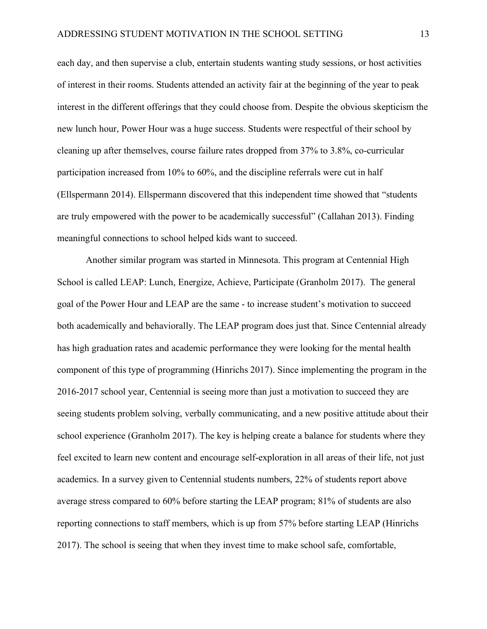each day, and then supervise a club, entertain students wanting study sessions, or host activities of interest in their rooms. Students attended an activity fair at the beginning of the year to peak interest in the different offerings that they could choose from. Despite the obvious skepticism the new lunch hour, Power Hour was a huge success. Students were respectful of their school by cleaning up after themselves, course failure rates dropped from 37% to 3.8%, co-curricular participation increased from 10% to 60%, and the discipline referrals were cut in half (Ellspermann 2014). Ellspermann discovered that this independent time showed that "students are truly empowered with the power to be academically successful" (Callahan 2013). Finding meaningful connections to school helped kids want to succeed.

Another similar program was started in Minnesota. This program at Centennial High School is called LEAP: Lunch, Energize, Achieve, Participate (Granholm 2017). The general goal of the Power Hour and LEAP are the same - to increase student's motivation to succeed both academically and behaviorally. The LEAP program does just that. Since Centennial already has high graduation rates and academic performance they were looking for the mental health component of this type of programming (Hinrichs 2017). Since implementing the program in the 2016-2017 school year, Centennial is seeing more than just a motivation to succeed they are seeing students problem solving, verbally communicating, and a new positive attitude about their school experience (Granholm 2017). The key is helping create a balance for students where they feel excited to learn new content and encourage self-exploration in all areas of their life, not just academics. In a survey given to Centennial students numbers, 22% of students report above average stress compared to 60% before starting the LEAP program; 81% of students are also reporting connections to staff members, which is up from 57% before starting LEAP (Hinrichs 2017). The school is seeing that when they invest time to make school safe, comfortable,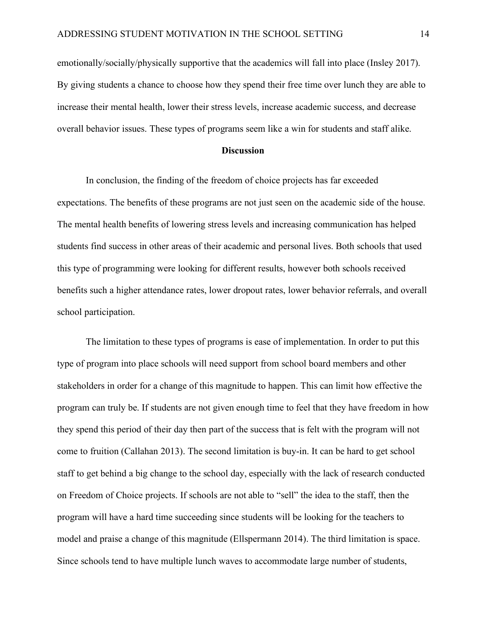emotionally/socially/physically supportive that the academics will fall into place (Insley 2017). By giving students a chance to choose how they spend their free time over lunch they are able to increase their mental health, lower their stress levels, increase academic success, and decrease overall behavior issues. These types of programs seem like a win for students and staff alike.

## **Discussion**

In conclusion, the finding of the freedom of choice projects has far exceeded expectations. The benefits of these programs are not just seen on the academic side of the house. The mental health benefits of lowering stress levels and increasing communication has helped students find success in other areas of their academic and personal lives. Both schools that used this type of programming were looking for different results, however both schools received benefits such a higher attendance rates, lower dropout rates, lower behavior referrals, and overall school participation.

The limitation to these types of programs is ease of implementation. In order to put this type of program into place schools will need support from school board members and other stakeholders in order for a change of this magnitude to happen. This can limit how effective the program can truly be. If students are not given enough time to feel that they have freedom in how they spend this period of their day then part of the success that is felt with the program will not come to fruition (Callahan 2013). The second limitation is buy-in. It can be hard to get school staff to get behind a big change to the school day, especially with the lack of research conducted on Freedom of Choice projects. If schools are not able to "sell" the idea to the staff, then the program will have a hard time succeeding since students will be looking for the teachers to model and praise a change of this magnitude (Ellspermann 2014). The third limitation is space. Since schools tend to have multiple lunch waves to accommodate large number of students,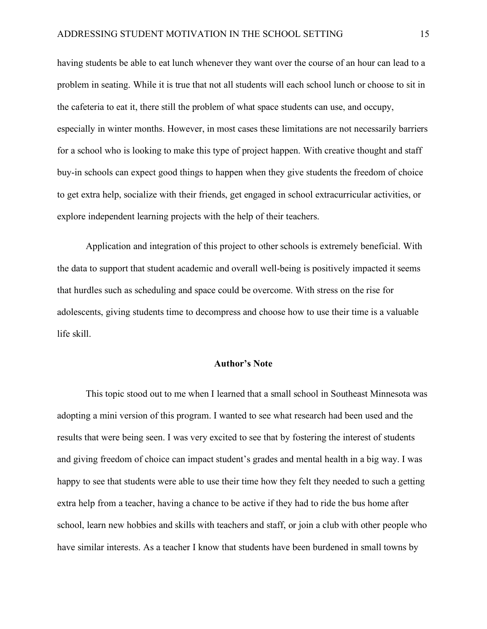having students be able to eat lunch whenever they want over the course of an hour can lead to a problem in seating. While it is true that not all students will each school lunch or choose to sit in the cafeteria to eat it, there still the problem of what space students can use, and occupy, especially in winter months. However, in most cases these limitations are not necessarily barriers for a school who is looking to make this type of project happen. With creative thought and staff buy-in schools can expect good things to happen when they give students the freedom of choice to get extra help, socialize with their friends, get engaged in school extracurricular activities, or explore independent learning projects with the help of their teachers.

Application and integration of this project to other schools is extremely beneficial. With the data to support that student academic and overall well-being is positively impacted it seems that hurdles such as scheduling and space could be overcome. With stress on the rise for adolescents, giving students time to decompress and choose how to use their time is a valuable life skill.

#### **Author's Note**

This topic stood out to me when I learned that a small school in Southeast Minnesota was adopting a mini version of this program. I wanted to see what research had been used and the results that were being seen. I was very excited to see that by fostering the interest of students and giving freedom of choice can impact student's grades and mental health in a big way. I was happy to see that students were able to use their time how they felt they needed to such a getting extra help from a teacher, having a chance to be active if they had to ride the bus home after school, learn new hobbies and skills with teachers and staff, or join a club with other people who have similar interests. As a teacher I know that students have been burdened in small towns by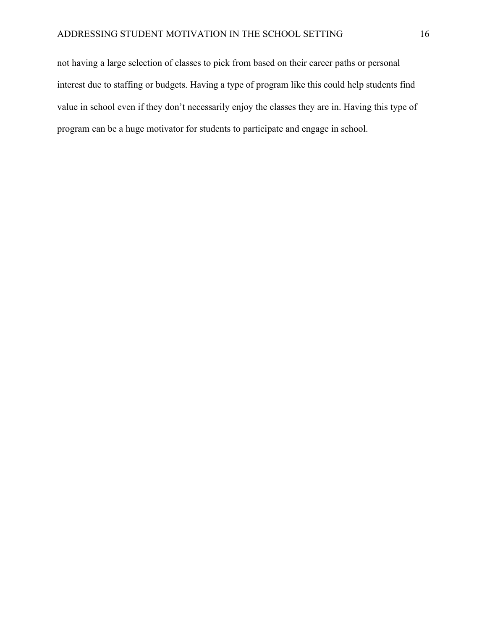not having a large selection of classes to pick from based on their career paths or personal interest due to staffing or budgets. Having a type of program like this could help students find value in school even if they don't necessarily enjoy the classes they are in. Having this type of program can be a huge motivator for students to participate and engage in school.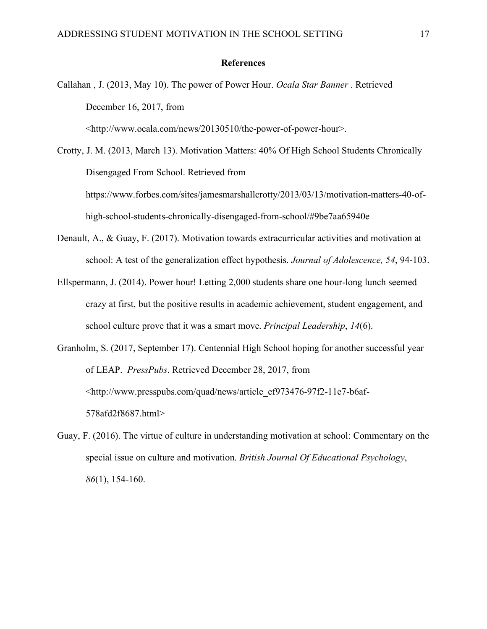#### **References**

Callahan , J. (2013, May 10). The power of Power Hour. *Ocala Star Banner* . Retrieved December 16, 2017, from

<http://www.ocala.com/news/20130510/the-power-of-power-hour>.

Crotty, J. M. (2013, March 13). Motivation Matters: 40% Of High School Students Chronically Disengaged From School. Retrieved from https://www.forbes.com/sites/jamesmarshallcrotty/2013/03/13/motivation-matters-40-ofhigh-school-students-chronically-disengaged-from-school/#9be7aa65940e

- Denault, A., & Guay, F. (2017). Motivation towards extracurricular activities and motivation at school: A test of the generalization effect hypothesis. *Journal of Adolescence, 54*, 94-103.
- Ellspermann, J. (2014). Power hour! Letting 2,000 students share one hour-long lunch seemed crazy at first, but the positive results in academic achievement, student engagement, and school culture prove that it was a smart move. *Principal Leadership*, *14*(6).

Granholm, S. (2017, September 17). Centennial High School hoping for another successful year of LEAP. *PressPubs*. Retrieved December 28, 2017, from <http://www.presspubs.com/quad/news/article\_ef973476-97f2-11e7-b6af-578afd2f8687.html>

Guay, F. (2016). The virtue of culture in understanding motivation at school: Commentary on the special issue on culture and motivation. *British Journal Of Educational Psychology*, *86*(1), 154-160.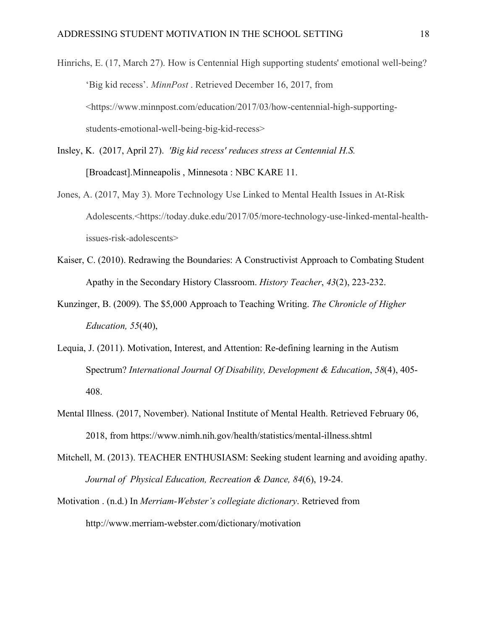- Hinrichs, E. (17, March 27). How is Centennial High supporting students' emotional well-being? 'Big kid recess'. *MinnPost* . Retrieved December 16, 2017, from <https://www.minnpost.com/education/2017/03/how-centennial-high-supportingstudents-emotional-well-being-big-kid-recess>
- Insley, K. (2017, April 27). *'Big kid recess' reduces stress at Centennial H.S.* [Broadcast].Minneapolis , Minnesota : NBC KARE 11.
- Jones, A. (2017, May 3). More Technology Use Linked to Mental Health Issues in At-Risk Adolescents.<https://today.duke.edu/2017/05/more-technology-use-linked-mental-healthissues-risk-adolescents>
- Kaiser, C. (2010). Redrawing the Boundaries: A Constructivist Approach to Combating Student Apathy in the Secondary History Classroom. *History Teacher*, *43*(2), 223-232.
- Kunzinger, B. (2009). The \$5,000 Approach to Teaching Writing. *The Chronicle of Higher Education, 55*(40),
- Lequia, J. (2011). Motivation, Interest, and Attention: Re-defining learning in the Autism Spectrum? *International Journal Of Disability, Development & Education*, *58*(4), 405- 408.
- Mental Illness. (2017, November). National Institute of Mental Health. Retrieved February 06, 2018, from https://www.nimh.nih.gov/health/statistics/mental-illness.shtml
- Mitchell, M. (2013). TEACHER ENTHUSIASM: Seeking student learning and avoiding apathy. *Journal of Physical Education, Recreation & Dance, 84*(6), 19-24.
- Motivation . (n.d.) In *Merriam-Webster's collegiate dictionary*. Retrieved from http://www.merriam-webster.com/dictionary/motivation